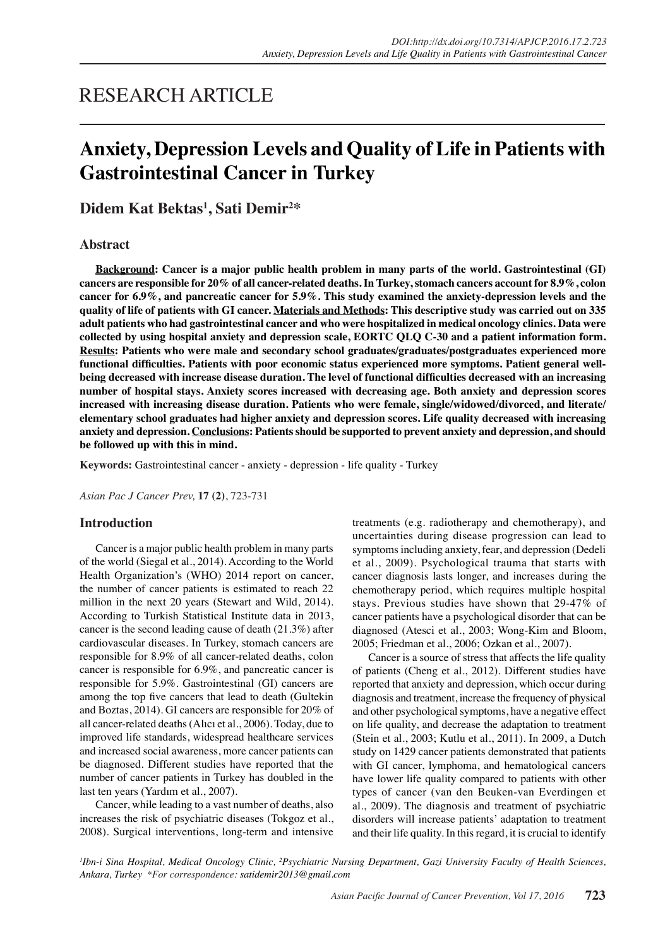# RESEARCH ARTICLE

# **Anxiety, Depression Levels and Quality of Life in Patients with Gastrointestinal Cancer in Turkey**

**Didem Kat Bektas1 , Sati Demir2 \***

# **Abstract**

**Background: Cancer is a major public health problem in many parts of the world. Gastrointestinal (GI) cancers are responsible for 20% of all cancer-related deaths. In Turkey, stomach cancers account for 8.9%, colon cancer for 6.9%, and pancreatic cancer for 5.9%. This study examined the anxiety-depression levels and the quality of life of patients with GI cancer. Materials and Methods: This descriptive study was carried out on 335 adult patients who had gastrointestinal cancer and who were hospitalized in medical oncology clinics. Data were collected by using hospital anxiety and depression scale, EORTC QLQ C-30 and a patient information form. Results: Patients who were male and secondary school graduates/graduates/postgraduates experienced more functional difficulties. Patients with poor economic status experienced more symptoms. Patient general wellbeing decreased with increase disease duration. The level of functional difficulties decreased with an increasing number of hospital stays. Anxiety scores increased with decreasing age. Both anxiety and depression scores increased with increasing disease duration. Patients who were female, single/widowed/divorced, and literate/ elementary school graduates had higher anxiety and depression scores. Life quality decreased with increasing anxiety and depression. Conclusions: Patients should be supported to prevent anxiety and depression, and should be followed up with this in mind.**

**Keywords:** Gastrointestinal cancer - anxiety - depression - life quality - Turkey

*Asian Pac J Cancer Prev,* **17 (2)**, 723-731

# **Introduction**

Cancer is a major public health problem in many parts of the world (Siegal et al., 2014). According to the World Health Organization's (WHO) 2014 report on cancer, the number of cancer patients is estimated to reach 22 million in the next 20 years (Stewart and Wild, 2014). According to Turkish Statistical Institute data in 2013, cancer is the second leading cause of death (21.3%) after cardiovascular diseases. In Turkey, stomach cancers are responsible for 8.9% of all cancer-related deaths, colon cancer is responsible for 6.9%, and pancreatic cancer is responsible for 5.9%. Gastrointestinal (GI) cancers are among the top five cancers that lead to death (Gultekin and Boztas, 2014). GI cancers are responsible for 20% of all cancer-related deaths (Alıcı et al., 2006). Today, due to improved life standards, widespread healthcare services and increased social awareness, more cancer patients can be diagnosed. Different studies have reported that the number of cancer patients in Turkey has doubled in the last ten years (Yardım et al., 2007).

Cancer, while leading to a vast number of deaths, also increases the risk of psychiatric diseases (Tokgoz et al., 2008). Surgical interventions, long-term and intensive treatments (e.g. radiotherapy and chemotherapy), and uncertainties during disease progression can lead to symptoms including anxiety, fear, and depression (Dedeli et al., 2009). Psychological trauma that starts with cancer diagnosis lasts longer, and increases during the chemotherapy period, which requires multiple hospital stays. Previous studies have shown that 29-47% of cancer patients have a psychological disorder that can be diagnosed (Atesci et al., 2003; Wong-Kim and Bloom, 2005; Friedman et al., 2006; Ozkan et al., 2007).

Cancer is a source of stress that affects the life quality of patients (Cheng et al., 2012). Different studies have reported that anxiety and depression, which occur during diagnosis and treatment, increase the frequency of physical and other psychological symptoms, have a negative effect on life quality, and decrease the adaptation to treatment (Stein et al., 2003; Kutlu et al., 2011). In 2009, a Dutch study on 1429 cancer patients demonstrated that patients with GI cancer, lymphoma, and hematological cancers have lower life quality compared to patients with other types of cancer (van den Beuken-van Everdingen et al., 2009). The diagnosis and treatment of psychiatric disorders will increase patients' adaptation to treatment and their life quality. In this regard, it is crucial to identify

<sup>1</sup>Ibn-i Sina Hospital, Medical Oncology Clinic, <sup>2</sup>Psychiatric Nursing Department, Gazi University Faculty of Health Sciences, *Ankara, Turkey \*For correspondence: satidemir2013@gmail.com*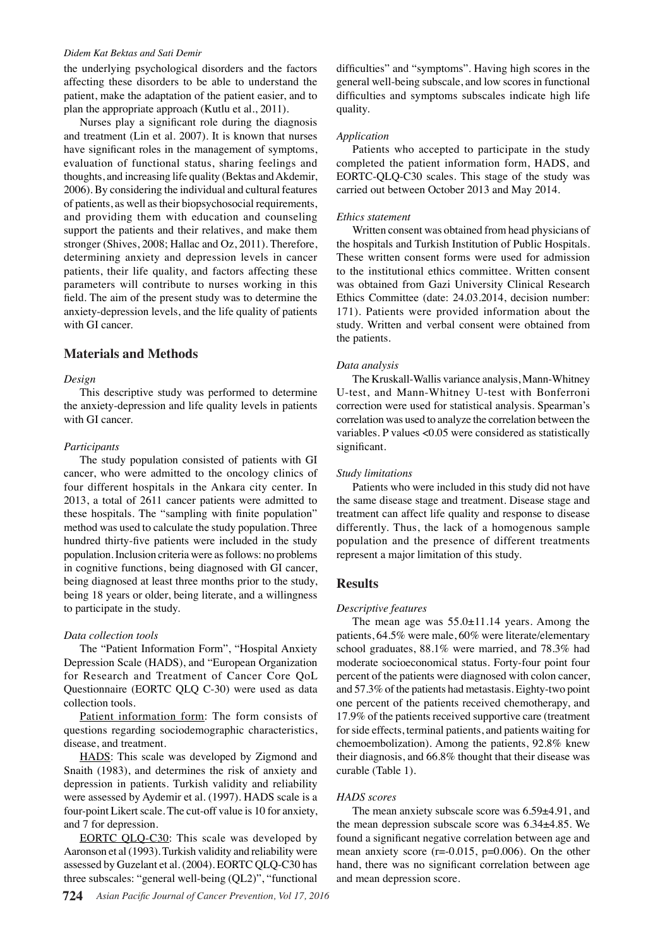### *Didem Kat Bektas and Sati Demir*

the underlying psychological disorders and the factors affecting these disorders to be able to understand the patient, make the adaptation of the patient easier, and to plan the appropriate approach (Kutlu et al., 2011).

Nurses play a significant role during the diagnosis and treatment (Lin et al. 2007). It is known that nurses have significant roles in the management of symptoms, evaluation of functional status, sharing feelings and thoughts, and increasing life quality (Bektas and Akdemir, 2006). By considering the individual and cultural features of patients, as well as their biopsychosocial requirements, and providing them with education and counseling support the patients and their relatives, and make them stronger (Shives, 2008; Hallac and Oz, 2011). Therefore, determining anxiety and depression levels in cancer patients, their life quality, and factors affecting these parameters will contribute to nurses working in this field. The aim of the present study was to determine the anxiety-depression levels, and the life quality of patients with GI cancer.

# **Materials and Methods**

### *Design*

This descriptive study was performed to determine the anxiety-depression and life quality levels in patients with GI cancer.

### *Participants*

The study population consisted of patients with GI cancer, who were admitted to the oncology clinics of four different hospitals in the Ankara city center. In 2013, a total of 2611 cancer patients were admitted to these hospitals. The "sampling with finite population" method was used to calculate the study population. Three hundred thirty-five patients were included in the study population. Inclusion criteria were as follows: no problems in cognitive functions, being diagnosed with GI cancer, being diagnosed at least three months prior to the study, being 18 years or older, being literate, and a willingness to participate in the study.

### *Data collection tools*

The "Patient Information Form", "Hospital Anxiety Depression Scale (HADS), and "European Organization for Research and Treatment of Cancer Core QoL Questionnaire (EORTC QLQ C-30) were used as data collection tools.

Patient information form: The form consists of questions regarding sociodemographic characteristics, disease, and treatment.

HADS: This scale was developed by Zigmond and Snaith (1983), and determines the risk of anxiety and depression in patients. Turkish validity and reliability were assessed by Aydemir et al. (1997). HADS scale is a four-point Likert scale. The cut-off value is 10 for anxiety, and 7 for depression.

EORTC QLQ-C30: This scale was developed by Aaronson et al (1993). Turkish validity and reliability were assessed by Guzelant et al. (2004). EORTC QLQ-C30 has three subscales: "general well-being (QL2)", "functional

difficulties" and "symptoms". Having high scores in the general well-being subscale, and low scores in functional difficulties and symptoms subscales indicate high life quality.

### *Application*

Patients who accepted to participate in the study completed the patient information form, HADS, and EORTC-QLQ-C30 scales. This stage of the study was carried out between October 2013 and May 2014.

### *Ethics statement*

Written consent was obtained from head physicians of the hospitals and Turkish Institution of Public Hospitals. These written consent forms were used for admission to the institutional ethics committee. Written consent was obtained from Gazi University Clinical Research Ethics Committee (date: 24.03.2014, decision number: 171). Patients were provided information about the study. Written and verbal consent were obtained from the patients.

### *Data analysis*

The Kruskall-Wallis variance analysis, Mann-Whitney U-test, and Mann-Whitney U-test with Bonferroni correction were used for statistical analysis. Spearman's correlation was used to analyze the correlation between the variables. P values <0.05 were considered as statistically significant.

### *Study limitations*

Patients who were included in this study did not have the same disease stage and treatment. Disease stage and treatment can affect life quality and response to disease differently. Thus, the lack of a homogenous sample population and the presence of different treatments represent a major limitation of this study.

# **Results**

### *Descriptive features*

The mean age was 55.0±11.14 years. Among the patients, 64.5% were male, 60% were literate/elementary school graduates, 88.1% were married, and 78.3% had moderate socioeconomical status. Forty-four point four percent of the patients were diagnosed with colon cancer, and 57.3% of the patients had metastasis. Eighty-two point one percent of the patients received chemotherapy, and 17.9% of the patients received supportive care (treatment for side effects, terminal patients, and patients waiting for chemoembolization). Among the patients, 92.8% knew their diagnosis, and 66.8% thought that their disease was curable (Table 1).

### *HADS scores*

The mean anxiety subscale score was 6.59±4.91, and the mean depression subscale score was 6.34±4.85. We found a significant negative correlation between age and mean anxiety score ( $r = 0.015$ ,  $p = 0.006$ ). On the other hand, there was no significant correlation between age and mean depression score.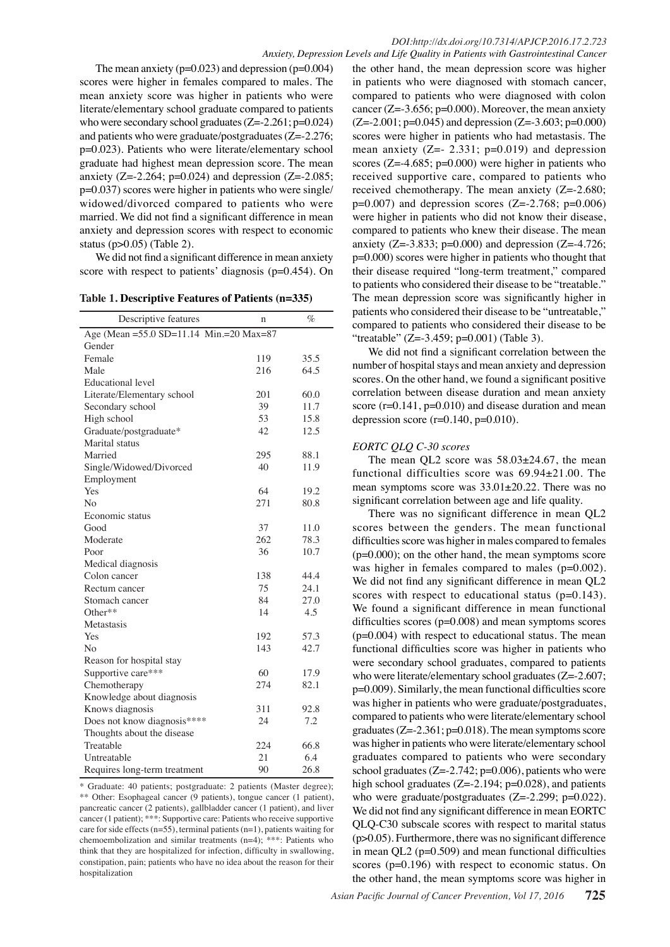The mean anxiety ( $p=0.023$ ) and depression ( $p=0.004$ ) scores were higher in females compared to males. The mean anxiety score was higher in patients who were literate/elementary school graduate compared to patients who were secondary school graduates (Z=-2.261; p=0.024) and patients who were graduate/postgraduates (Z=-2.276; p=0.023). Patients who were literate/elementary school graduate had highest mean depression score. The mean anxiety (Z=-2.264; p=0.024) and depression (Z=-2.085; p=0.037) scores were higher in patients who were single/ widowed/divorced compared to patients who were married. We did not find a significant difference in mean anxiety and depression scores with respect to economic status (p>0.05) (Table 2).

We did not find a significant difference in mean anxiety score with respect to patients' diagnosis (p=0.454). On

**Table 1. Descriptive Features of Patients (n=335)**

| Descriptive features                     | n   | $\%$ |
|------------------------------------------|-----|------|
| Age (Mean = 55.0 SD=11.14 Min.=20 Max=87 |     |      |
| Gender                                   |     |      |
| Female                                   | 119 | 35.5 |
| Male                                     | 216 | 64.5 |
| <b>Educational</b> level                 |     |      |
| Literate/Elementary school               | 201 | 60.0 |
| Secondary school                         | 39  | 11.7 |
| High school                              | 53  | 15.8 |
| Graduate/postgraduate*                   | 42  | 12.5 |
| Marital status                           |     |      |
| Married                                  | 295 | 88.1 |
| Single/Widowed/Divorced                  | 40  | 11.9 |
| Employment                               |     |      |
| Yes                                      | 64  | 19.2 |
| No                                       | 271 | 80.8 |
| Economic status                          |     |      |
| Good                                     | 37  | 11.0 |
| Moderate                                 | 262 | 78.3 |
| Poor                                     | 36  | 10.7 |
| Medical diagnosis                        |     |      |
| Colon cancer                             | 138 | 44.4 |
| Rectum cancer                            | 75  | 24.1 |
| Stomach cancer                           | 84  | 27.0 |
| Other**                                  | 14  | 4.5  |
| Metastasis                               |     |      |
| Yes                                      | 192 | 57.3 |
| No                                       | 143 | 42.7 |
| Reason for hospital stay                 |     |      |
| Supportive care***                       | 60  | 17.9 |
| Chemotherapy                             | 274 | 82.1 |
| Knowledge about diagnosis                |     |      |
| Knows diagnosis                          | 311 | 92.8 |
| Does not know diagnosis****              | 24  | 7.2  |
| Thoughts about the disease               |     |      |
| Treatable                                | 224 | 66.8 |
| Untreatable                              | 21  | 6.4  |
| Requires long-term treatment             | 90  | 26.8 |

\* Graduate: 40 patients; postgraduate: 2 patients (Master degree); \*\* Other: Esophageal cancer (9 patients), tongue cancer (1 patient), pancreatic cancer (2 patients), gallbladder cancer (1 patient), and liver cancer (1 patient); \*\*\*: Supportive care: Patients who receive supportive care for side effects (n=55), terminal patients (n=1), patients waiting for chemoembolization and similar treatments (n=4); \*\*\*: Patients who think that they are hospitalized for infection, difficulty in swallowing, constipation, pain; patients who have no idea about the reason for their hospitalization

*Anxiety, Depression Levels and Life Quality in Patients with Gastrointestinal Cancer* the other hand, the mean depression score was higher in patients who were diagnosed with stomach cancer, compared to patients who were diagnosed with colon cancer ( $Z = 3.656$ ;  $p = 0.000$ ). Moreover, the mean anxiety  $(Z=-2.001; p=0.045)$  and depression  $(Z=-3.603; p=0.000)$ scores were higher in patients who had metastasis. The mean anxiety ( $Z=-2.331$ ;  $p=0.019$ ) and depression scores  $(Z=4.685; p=0.000)$  were higher in patients who received supportive care, compared to patients who received chemotherapy. The mean anxiety (Z=-2.680;  $p=0.007$ ) and depression scores (Z=-2.768;  $p=0.006$ ) were higher in patients who did not know their disease, compared to patients who knew their disease. The mean anxiety (Z= $-3.833$ ; p=0.000) and depression (Z= $-4.726$ ; p=0.000) scores were higher in patients who thought that their disease required "long-term treatment," compared to patients who considered their disease to be "treatable." The mean depression score was significantly higher in patients who considered their disease to be "untreatable," compared to patients who considered their disease to be "treatable" (Z=-3.459; p=0.001) (Table 3).

> We did not find a significant correlation between the number of hospital stays and mean anxiety and depression scores. On the other hand, we found a significant positive correlation between disease duration and mean anxiety score  $(r=0.141, p=0.010)$  and disease duration and mean depression score ( $r=0.140$ ,  $p=0.010$ ).

### *EORTC QLQ C-30 scores*

The mean QL2 score was  $58.03\pm24.67$ , the mean functional difficulties score was 69.94±21.00. The mean symptoms score was 33.01±20.22. There was no significant correlation between age and life quality.

There was no significant difference in mean QL2 scores between the genders. The mean functional difficulties score was higher in males compared to females  $(p=0.000)$ ; on the other hand, the mean symptoms score was higher in females compared to males  $(p=0.002)$ . We did not find any significant difference in mean QL2 scores with respect to educational status  $(p=0.143)$ . We found a significant difference in mean functional difficulties scores (p=0.008) and mean symptoms scores  $(p=0.004)$  with respect to educational status. The mean functional difficulties score was higher in patients who were secondary school graduates, compared to patients who were literate/elementary school graduates (Z=-2.607; p=0.009). Similarly, the mean functional difficulties score was higher in patients who were graduate/postgraduates, compared to patients who were literate/elementary school graduates ( $Z = -2.361$ ;  $p = 0.018$ ). The mean symptoms score was higher in patients who were literate/elementary school graduates compared to patients who were secondary school graduates  $(Z=2.742; p=0.006)$ , patients who were high school graduates  $(Z=-2.194; p=0.028)$ , and patients who were graduate/postgraduates (Z=-2.299; p=0.022). We did not find any significant difference in mean EORTC QLQ-C30 subscale scores with respect to marital status  $(p>0.05)$ . Furthermore, there was no significant difference in mean QL2 ( $p=0.509$ ) and mean functional difficulties scores (p=0.196) with respect to economic status. On the other hand, the mean symptoms score was higher in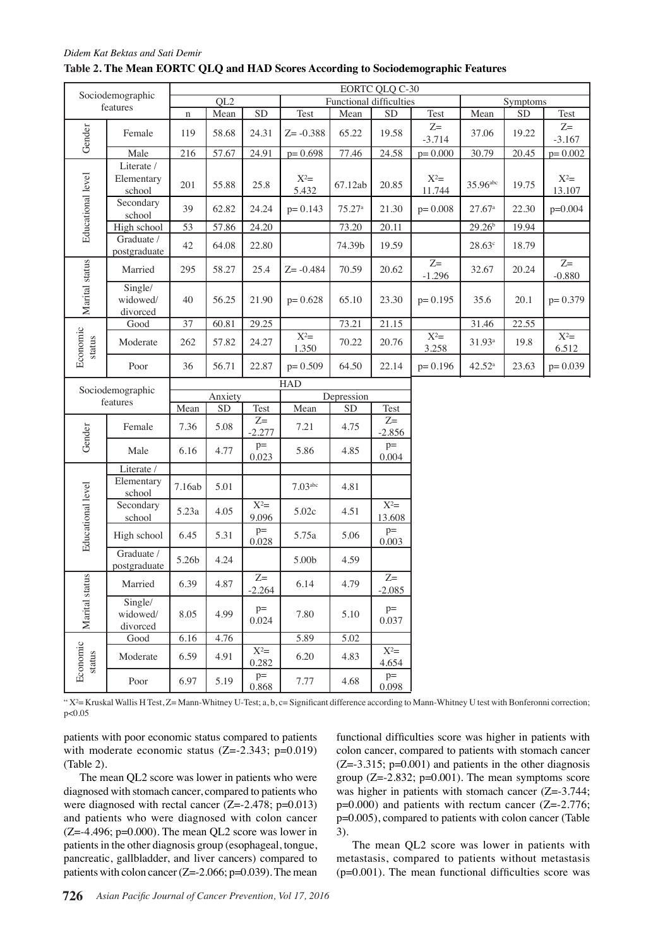# *Didem Kat Bektas and Sati Demir* **Table 2. The Mean EORTC QLQ and HAD Scores According to Sociodemographic Features**

| Sociodemographic<br>features |                                    |             |                 |                                                                                          |                 |                         | <b>EORTC QLQ C-30</b> |                                   |                      |          |                   |       |
|------------------------------|------------------------------------|-------------|-----------------|------------------------------------------------------------------------------------------|-----------------|-------------------------|-----------------------|-----------------------------------|----------------------|----------|-------------------|-------|
|                              |                                    |             | QL <sub>2</sub> |                                                                                          |                 | Functional difficulties |                       |                                   |                      | Symptoms |                   | 100.0 |
|                              |                                    | $\mathbf n$ | Mean            | SD                                                                                       | Test            | Mean                    | <b>SD</b>             | Test                              | Mean                 | SD       | Test              |       |
| Gender                       | Female                             | 119         | 58.68           | 24.31                                                                                    | $Z = -0.388$    | 65.22                   | 19.58                 | $Z=$<br>$-3.714$                  | 37.06                | 19.22    | $Z=$<br>$-3.167$  |       |
|                              | Male                               | 216         | 57.67           | 24.91                                                                                    | $p=0.698$       | 77.46                   | 24.58                 | $p=0.000$                         | 30.79                | 20.45    | $p=0.002$         | 75.0  |
| Educational level            | Literate /<br>Elementary<br>school | 201         | 55.88           | 25.8                                                                                     | $X^2=$<br>5.432 | 67.12ab                 | 20.85                 | $X^2=$<br>11.744                  | 35.96abc             | 19.75    | $X^2=$<br>13.107  | 50.0  |
|                              | Secondary<br>school                | 39          | 62.82           | 24.24                                                                                    | $p = 0.143$     | 75.27a                  | 21.30                 | $p=0.008$                         | $27.67$ <sup>a</sup> | 22.30    | p=0.004           |       |
|                              | High school                        | 53          | 57.86           | 24.20                                                                                    |                 | 73.20                   | 20.11                 |                                   | 29.26 <sup>b</sup>   | 19.94    |                   |       |
|                              | Graduate /<br>postgraduate         | 42          | 64.08           | 22.80                                                                                    |                 | 74.39b                  | 19.59                 |                                   | 28.63c               | 18.79    |                   | 25.0  |
| Marital status               | Married                            | 295         | 58.27           | 25.4                                                                                     | $Z = -0.484$    | 70.59                   | 20.62                 | $Z=$<br>$-1.296$                  | 32.67                | 20.24    | $Z =$<br>$-0.880$ |       |
|                              | Single/<br>widowed/<br>divorced    | 40          | 56.25           | 21.90                                                                                    | $p=0.628$       | 65.10                   | 23.30                 | $p=0.195$                         | 35.6                 | 20.1     | $p = 0.379$       | 0     |
|                              | Good                               | 37          | 60.81           | 29.25                                                                                    |                 | 73.21                   | 21.15                 |                                   | 31.46                | 22.55    |                   |       |
| Economic<br>status           | Moderate                           | 262         | 57.82           | 24.27                                                                                    | $X^2=$<br>1.350 | 70.22                   | 20.76                 | $\mathbf{X}^2\mathbf{=}$<br>3.258 | $31.93$ <sup>a</sup> | 19.8     | $X^2=$<br>6.512   |       |
|                              | Poor                               | 36          | 56.71           | 22.87                                                                                    | $p=0.509$       | 64.50                   | 22.14                 | $p=0.196$                         | $42.52^{\rm a}$      | 23.63    | $p=0.039$         |       |
|                              | Sociodemographic                   |             |                 |                                                                                          | <b>HAD</b>      |                         |                       |                                   |                      |          |                   |       |
| features                     |                                    |             | Anxiety         |                                                                                          |                 | Depression              |                       |                                   |                      |          |                   |       |
|                              |                                    | Mean        | <b>SD</b>       | Test<br>$Z=$                                                                             | Mean            | SD                      | Test<br>$Z=$          |                                   |                      |          |                   |       |
| Gender                       | Female                             | 7.36        | 5.08            | $-2.277$                                                                                 | 7.21            | 4.75                    | $-2.856$              |                                   |                      |          |                   |       |
|                              | Male                               | 6.16        | 4.77            | $p=$<br>0.023                                                                            | 5.86            | 4.85                    | $p=$<br>0.004         |                                   |                      |          |                   |       |
| Educational level            | Literate /                         |             |                 |                                                                                          |                 |                         |                       |                                   |                      |          |                   |       |
|                              | Elementary<br>school               | 7.16ab      | 5.01            |                                                                                          | $7.03$ abc      | 4.81                    |                       |                                   |                      |          |                   |       |
|                              | Secondary<br>school                | 5.23a       | 4.05            | $\mathbf{X}^{\mathbf{2}}\mathbf{=}% ^{\mathbf{2}}\times\mathbf{X}^{\mathbf{2}}$<br>9.096 | 5.02c           | 4.51                    | $X^2=$<br>13.608      |                                   |                      |          |                   |       |
|                              | High school                        | 6.45        | 5.31            | $p=$<br>0.028                                                                            | 5.75a           | 5.06                    | $p=$<br>0.003         |                                   |                      |          |                   |       |
|                              | Graduate /<br>postgraduate         | 5.26b       | 4.24            |                                                                                          | 5.00b           | 4.59                    |                       |                                   |                      |          |                   |       |
| tus<br>Marital sta           | Married                            | 6.39        | 4.87            | $Z =$<br>$-2.264$                                                                        | 6.14            | 4.79                    | $Z =$<br>$-2.085$     |                                   |                      |          |                   |       |
|                              | Single/<br>widowed/<br>divorced    | 8.05        | 4.99            | $p=$<br>0.024                                                                            | 7.80            | 5.10                    | $p=$<br>0.037         |                                   |                      |          |                   |       |
|                              | Good                               | 6.16        | 4.76            |                                                                                          | 5.89            | 5.02                    |                       |                                   |                      |          |                   |       |
| Economic<br>status           | Moderate                           | 6.59        | 4.91            | $\overline{X^2=}$<br>0.282                                                               | 6.20            | 4.83                    | $X^2=$<br>4.654       |                                   |                      |          |                   |       |
|                              | Poor                               | 6.97        | 5.19            | $p=$<br>0.868                                                                            | 7.77            | 4.68                    | $p=$<br>0.098         |                                   |                      |          |                   |       |

" X²= Kruskal Wallis H Test, Z= Mann-Whitney U-Test; a, b, c= Significant difference according to Mann-Whitney U test with Bonferonni correction; p<0.05

patients with poor economic status compared to patients with moderate economic status (Z=-2.343; p=0.019) (Table 2).

The mean QL2 score was lower in patients who were diagnosed with stomach cancer, compared to patients who were diagnosed with rectal cancer (Z=-2.478; p=0.013) and patients who were diagnosed with colon cancer  $(Z=4.496; p=0.000)$ . The mean QL2 score was lower in patients in the other diagnosis group (esophageal, tongue, pancreatic, gallbladder, and liver cancers) compared to patients with colon cancer  $(Z=2.066; p=0.039)$ . The mean

functional difficulties score was higher in patients with colon cancer, compared to patients with stomach cancer  $(Z=-3.315; p=0.001)$  and patients in the other diagnosis group (Z=-2.832; p=0.001). The mean symptoms score was higher in patients with stomach cancer (Z=-3.744; p=0.000) and patients with rectum cancer (Z=-2.776; p=0.005), compared to patients with colon cancer (Table 3).

The mean QL2 score was lower in patients with metastasis, compared to patients without metastasis  $(p=0.001)$ . The mean functional difficulties score was **20.3 6.3 10.151.7**

**20.3 6.3 10.1**

**46.8 56.3 46.856.3**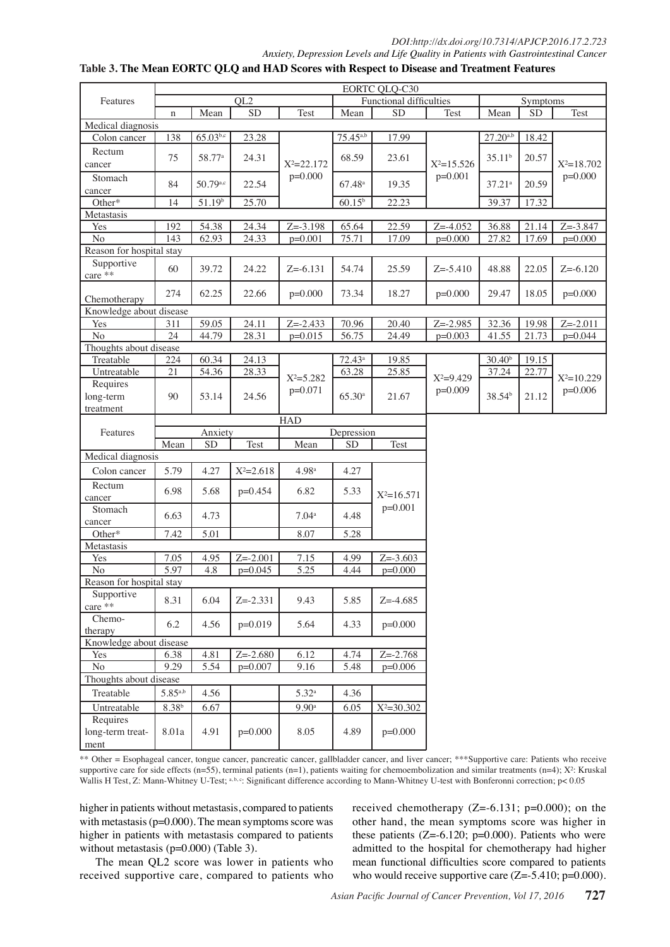# *DOI:http://dx.doi.org/10.7314/APJCP.2016.17.2.723*

### *Anxiety, Depression Levels and Life Quality in Patients with Gastrointestinal Cancer* **Table 3. The Mean EORTC QLQ and HAD Scores with Respect to Disease and Treatment Features**

#### Features EORTC QLQ-C30 QL2 Functional difficulties Symptoms n | Mean | SD | Test | Mean | SD | Test | Mean | SD | Test Medical diagnosis Colon cancer 138 65.03b,c 23.28 X²=22.172 p=0.000 75.45<sup>a,b</sup> 17.99  $X^2=15.526$ p=0.001 27.20a,b 18.42 X²=18.702 p=0.000 Rectum cancer  $\begin{array}{|c|c|c|c|c|c|c|c|} \hline \end{array}$  75  $\begin{array}{|c|c|c|c|c|c|c|c|} \hline \end{array}$  58.77a  $\begin{array}{|c|c|c|c|c|c|} \hline \end{array}$  24.31  $\begin{array}{|c|c|c|c|c|c|} \hline \end{array}$  68.59  $\begin{array}{|c|c|c|c|c|} \hline \end{array}$  23.61  $\begin{array}{|c|c|c|c|c|} \hline \end{array}$  35 Stomach cancer 84 50.79<sup>a,c</sup> 22.54 67.48<sup>a</sup> 19.35 67.21<sup>a</sup> 37.21<sup>a</sup> 20.59 Other\* 14 51.19<sup>b</sup> 25.70 60.15<sup>b</sup> 22.23 39.37 17.32 **Metastasis** Yes 192 54.38 24.34 Z=-3.198 65.64 22.59 Z=-4.052 36.88 21.14 Z=-3.847 No 143 62.93 24.33 p=0.001 75.71 17.09 p=0.000 27.82 17.69 p=0.000 Reason for hospital stay Supportive<br>care  $**$ care \*\* 60 39.72 24.22  $Z=-6.131$  54.74 25.59  $Z=-5.410$  48.88 22.05  $Z=-6.120$ Chemotherapy 274 62.25 22.66 p=0.000 73.34 18.27 p=0.000 29.47 18.05 p=0.000 Knowledge about disease Yes 311 59.05 24.11 Z=-2.433 70.96 20.40 Z=-2.985 32.36 19.98 Z=-2.011 No 24 44.79 28.31 p=0.015 56.75 24.49 p=0.003 41.55 21.73 p=0.044 Thoughts about disease Treatable 224 60.34 24.13  $X^2 = 5.282$ p=0.071 72.43<sup>a</sup> 19.85  $X^2=9.429$ p=0.009 30.40<sup>b</sup> 19.15  $X^2=10.229$ p=0.006 Untreatable 21 54.36 28.33  $\frac{1}{2}$   $\frac{1}{2}$   $\frac{63.28}{25.85}$   $\frac{25.85}{22}$   $\frac{1}{22}$   $\frac{37.24}{22.77}$  Requires long-term treatment 90 | 53.14 | 24.56 |  $\frac{P^{-0.07}}{1}$  | 65.30a | 21.67 |  $\frac{P^{-0.007}}{1}$  | 38.54b | 21.12 Features HAD Anxiety Depression Mean SD Test Mean SD Test Medical diagnosis Colon cancer 5.79 4.27  $X^2=2.618$  4.98<sup>a</sup> 4.27  $X^2=16.571$ p=0.001 Rectum cancer 6.98 5.68 p=0.454 6.82 5.33 Stomach cancer 6.63 4.73 7.04<sup>a</sup> 4.48 Other\* 7.42 5.01 8.07 5.28 Metastasis Yes 7.05 4.95 Z=-2.001 7.15 4.99 Z=-3.603 No 5.97 4.8 p=0.045 5.25 4.44 p=0.000 Reason for hospital stay Supportive care \*\* 8.31 6.04 Z=-2.331 9.43 5.85 Z=-4.685 Chemotherapy 6.2 4.56 p=0.019 5.64 4.33 p=0.000 Knowledge about disease Yes 6.38 4.81 Z=-2.680 6.12 4.74 Z=-2.768<br>No 9.29 5.54  $p=0.007$  9.16 5.48  $p=0.006$ No 9.29 5.54 p=0.007 9.16 5.48 p=0.006 Thoughts about disease Treatable  $\begin{array}{|c|c|c|c|c|c|} \hline 5.85^{a,b} & 4.56 & 5.32^a & 4.36 \hline \end{array}$ Untreatable 8.38 6.67 9.90<sup>a</sup> 6.05  $X^2=30.302$  Requires long-term treatment 8.01a 4.91 p=0.000 8.05 4.89 p=0.000

\*\* Other = Esophageal cancer, tongue cancer, pancreatic cancer, gallbladder cancer, and liver cancer; \*\*\*Supportive care: Patients who receive supportive care for side effects (n=55), terminal patients (n=1), patients waiting for chemoembolization and similar treatments (n=4);  $X^2$ : Kruskal Wallis H Test, Z: Mann-Whitney U-Test; a, b, c; Significant difference according to Mann-Whitney U-test with Bonferonni correction; p< 0.05

higher in patients without metastasis, compared to patients with metastasis ( $p=0.000$ ). The mean symptoms score was higher in patients with metastasis compared to patients without metastasis (p=0.000) (Table 3).

received chemotherapy  $(Z=6.131; p=0.000)$ ; on the other hand, the mean symptoms score was higher in these patients  $(Z=6.120; p=0.000)$ . Patients who were admitted to the hospital for chemotherapy had higher mean functional difficulties score compared to patients who would receive supportive care  $(Z=5.410; p=0.000)$ .

The mean QL2 score was lower in patients who received supportive care, compared to patients who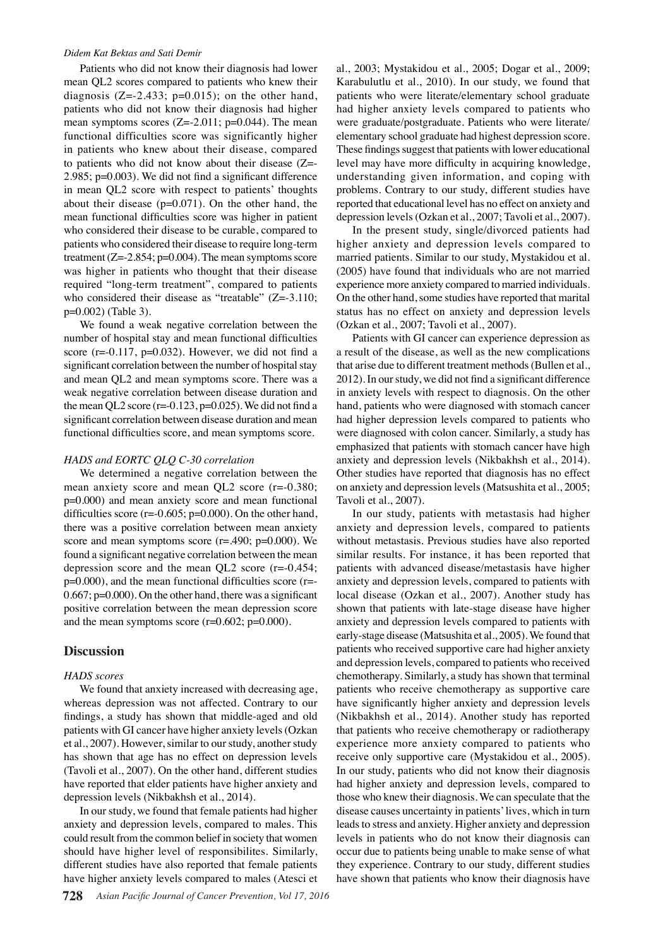#### *Didem Kat Bektas and Sati Demir*

Patients who did not know their diagnosis had lower mean QL2 scores compared to patients who knew their diagnosis  $(Z=-2.433; p=0.015)$ ; on the other hand, patients who did not know their diagnosis had higher mean symptoms scores  $(Z=-2.011; p=0.044)$ . The mean functional difficulties score was significantly higher in patients who knew about their disease, compared to patients who did not know about their disease (Z=- 2.985; p=0.003). We did not find a significant difference in mean QL2 score with respect to patients' thoughts about their disease (p=0.071). On the other hand, the mean functional difficulties score was higher in patient who considered their disease to be curable, compared to patients who considered their disease to require long-term treatment  $(Z=2.854; p=0.004)$ . The mean symptoms score was higher in patients who thought that their disease required "long-term treatment", compared to patients who considered their disease as "treatable"  $(Z=3.110;$ p=0.002) (Table 3).

We found a weak negative correlation between the number of hospital stay and mean functional difficulties score ( $r = -0.117$ ,  $p = 0.032$ ). However, we did not find a significant correlation between the number of hospital stay and mean QL2 and mean symptoms score. There was a weak negative correlation between disease duration and the mean QL2 score  $(r=0.123, p=0.025)$ . We did not find a significant correlation between disease duration and mean functional difficulties score, and mean symptoms score.

### *HADS and EORTC QLQ C-30 correlation*

We determined a negative correlation between the mean anxiety score and mean QL2 score (r=-0.380; p=0.000) and mean anxiety score and mean functional difficulties score  $(r=0.605; p=0.000)$ . On the other hand, there was a positive correlation between mean anxiety score and mean symptoms score  $(r=.490; p=0.000)$ . We found a significant negative correlation between the mean depression score and the mean QL2 score (r=-0.454; p=0.000), and the mean functional difficulties score (r=- 0.667; p=0.000). On the other hand, there was a significant positive correlation between the mean depression score and the mean symptoms score (r=0.602; p=0.000).

### **Discussion**

### *HADS scores*

We found that anxiety increased with decreasing age, whereas depression was not affected. Contrary to our findings, a study has shown that middle-aged and old patients with GI cancer have higher anxiety levels (Ozkan et al., 2007). However, similar to our study, another study has shown that age has no effect on depression levels (Tavoli et al., 2007). On the other hand, different studies have reported that elder patients have higher anxiety and depression levels (Nikbakhsh et al., 2014).

In our study, we found that female patients had higher anxiety and depression levels, compared to males. This could result from the common belief in society that women should have higher level of responsibilites. Similarly, different studies have also reported that female patients have higher anxiety levels compared to males (Atesci et

al., 2003; Mystakidou et al., 2005; Dogar et al., 2009; Karabulutlu et al., 2010). In our study, we found that patients who were literate/elementary school graduate had higher anxiety levels compared to patients who were graduate/postgraduate. Patients who were literate/ elementary school graduate had highest depression score. These findings suggest that patients with lower educational level may have more difficulty in acquiring knowledge, understanding given information, and coping with problems. Contrary to our study, different studies have reported that educational level has no effect on anxiety and depression levels (Ozkan et al., 2007; Tavoli et al., 2007).

In the present study, single/divorced patients had higher anxiety and depression levels compared to married patients. Similar to our study, Mystakidou et al. (2005) have found that individuals who are not married experience more anxiety compared to married individuals. On the other hand, some studies have reported that marital status has no effect on anxiety and depression levels (Ozkan et al., 2007; Tavoli et al., 2007).

Patients with GI cancer can experience depression as a result of the disease, as well as the new complications that arise due to different treatment methods (Bullen et al., 2012). In our study, we did not find a significant difference in anxiety levels with respect to diagnosis. On the other hand, patients who were diagnosed with stomach cancer had higher depression levels compared to patients who were diagnosed with colon cancer. Similarly, a study has emphasized that patients with stomach cancer have high anxiety and depression levels (Nikbakhsh et al., 2014). Other studies have reported that diagnosis has no effect on anxiety and depression levels (Matsushita et al., 2005; Tavoli et al., 2007).

In our study, patients with metastasis had higher anxiety and depression levels, compared to patients without metastasis. Previous studies have also reported similar results. For instance, it has been reported that patients with advanced disease/metastasis have higher anxiety and depression levels, compared to patients with local disease (Ozkan et al., 2007). Another study has shown that patients with late-stage disease have higher anxiety and depression levels compared to patients with early-stage disease (Matsushita et al., 2005). We found that patients who received supportive care had higher anxiety and depression levels, compared to patients who received chemotherapy. Similarly, a study has shown that terminal patients who receive chemotherapy as supportive care have significantly higher anxiety and depression levels (Nikbakhsh et al., 2014). Another study has reported that patients who receive chemotherapy or radiotherapy experience more anxiety compared to patients who receive only supportive care (Mystakidou et al., 2005). In our study, patients who did not know their diagnosis had higher anxiety and depression levels, compared to those who knew their diagnosis. We can speculate that the disease causes uncertainty in patients' lives, which in turn leads to stress and anxiety. Higher anxiety and depression levels in patients who do not know their diagnosis can occur due to patients being unable to make sense of what they experience. Contrary to our study, different studies have shown that patients who know their diagnosis have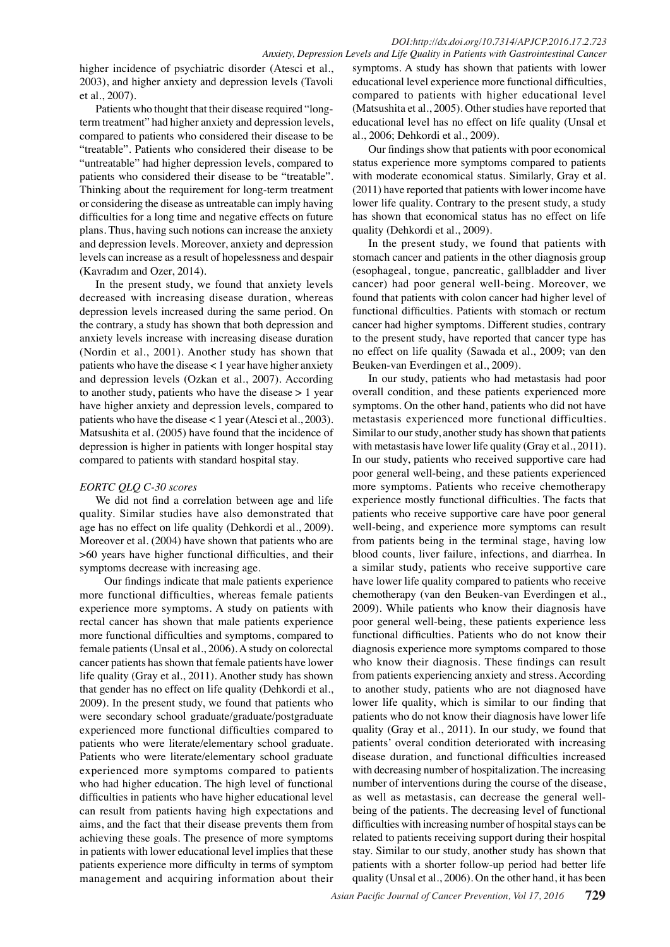# *DOI:http://dx.doi.org/10.7314/APJCP.2016.17.2.723*

higher incidence of psychiatric disorder (Atesci et al., 2003), and higher anxiety and depression levels (Tavoli et al., 2007).

Patients who thought that their disease required "longterm treatment" had higher anxiety and depression levels, compared to patients who considered their disease to be "treatable". Patients who considered their disease to be "untreatable" had higher depression levels, compared to patients who considered their disease to be "treatable". Thinking about the requirement for long-term treatment or considering the disease as untreatable can imply having difficulties for a long time and negative effects on future plans. Thus, having such notions can increase the anxiety and depression levels. Moreover, anxiety and depression levels can increase as a result of hopelessness and despair (Kavradım and Ozer, 2014).

In the present study, we found that anxiety levels decreased with increasing disease duration, whereas depression levels increased during the same period. On the contrary, a study has shown that both depression and anxiety levels increase with increasing disease duration (Nordin et al., 2001). Another study has shown that patients who have the disease < 1 year have higher anxiety and depression levels (Ozkan et al., 2007). According to another study, patients who have the disease > 1 year have higher anxiety and depression levels, compared to patients who have the disease < 1 year (Atesci et al., 2003). Matsushita et al. (2005) have found that the incidence of depression is higher in patients with longer hospital stay compared to patients with standard hospital stay.

### *EORTC QLQ C-30 scores*

We did not find a correlation between age and life quality. Similar studies have also demonstrated that age has no effect on life quality (Dehkordi et al., 2009). Moreover et al. (2004) have shown that patients who are >60 years have higher functional difficulties, and their symptoms decrease with increasing age.

 Our findings indicate that male patients experience more functional difficulties, whereas female patients experience more symptoms. A study on patients with rectal cancer has shown that male patients experience more functional difficulties and symptoms, compared to female patients (Unsal et al., 2006). A study on colorectal cancer patients has shown that female patients have lower life quality (Gray et al., 2011). Another study has shown that gender has no effect on life quality (Dehkordi et al., 2009). In the present study, we found that patients who were secondary school graduate/graduate/postgraduate experienced more functional difficulties compared to patients who were literate/elementary school graduate. Patients who were literate/elementary school graduate experienced more symptoms compared to patients who had higher education. The high level of functional difficulties in patients who have higher educational level can result from patients having high expectations and aims, and the fact that their disease prevents them from achieving these goals. The presence of more symptoms in patients with lower educational level implies that these patients experience more difficulty in terms of symptom management and acquiring information about their

*Anxiety, Depression Levels and Life Quality in Patients with Gastrointestinal Cancer* symptoms. A study has shown that patients with lower educational level experience more functional difficulties, compared to patients with higher educational level (Matsushita et al., 2005). Other studies have reported that educational level has no effect on life quality (Unsal et al., 2006; Dehkordi et al., 2009).

> Our findings show that patients with poor economical status experience more symptoms compared to patients with moderate economical status. Similarly, Gray et al. (2011) have reported that patients with lower income have lower life quality. Contrary to the present study, a study has shown that economical status has no effect on life quality (Dehkordi et al., 2009).

> In the present study, we found that patients with stomach cancer and patients in the other diagnosis group (esophageal, tongue, pancreatic, gallbladder and liver cancer) had poor general well-being. Moreover, we found that patients with colon cancer had higher level of functional difficulties. Patients with stomach or rectum cancer had higher symptoms. Different studies, contrary to the present study, have reported that cancer type has no effect on life quality (Sawada et al., 2009; van den Beuken-van Everdingen et al., 2009).

> In our study, patients who had metastasis had poor overall condition, and these patients experienced more symptoms. On the other hand, patients who did not have metastasis experienced more functional difficulties. Similar to our study, another study has shown that patients with metastasis have lower life quality (Gray et al., 2011). In our study, patients who received supportive care had poor general well-being, and these patients experienced more symptoms. Patients who receive chemotherapy experience mostly functional difficulties. The facts that patients who receive supportive care have poor general well-being, and experience more symptoms can result from patients being in the terminal stage, having low blood counts, liver failure, infections, and diarrhea. In a similar study, patients who receive supportive care have lower life quality compared to patients who receive chemotherapy (van den Beuken-van Everdingen et al., 2009). While patients who know their diagnosis have poor general well-being, these patients experience less functional difficulties. Patients who do not know their diagnosis experience more symptoms compared to those who know their diagnosis. These findings can result from patients experiencing anxiety and stress. According to another study, patients who are not diagnosed have lower life quality, which is similar to our finding that patients who do not know their diagnosis have lower life quality (Gray et al., 2011). In our study, we found that patients' overal condition deteriorated with increasing disease duration, and functional difficulties increased with decreasing number of hospitalization. The increasing number of interventions during the course of the disease, as well as metastasis, can decrease the general wellbeing of the patients. The decreasing level of functional difficulties with increasing number of hospital stays can be related to patients receiving support during their hospital stay. Similar to our study, another study has shown that patients with a shorter follow-up period had better life quality (Unsal et al., 2006). On the other hand, it has been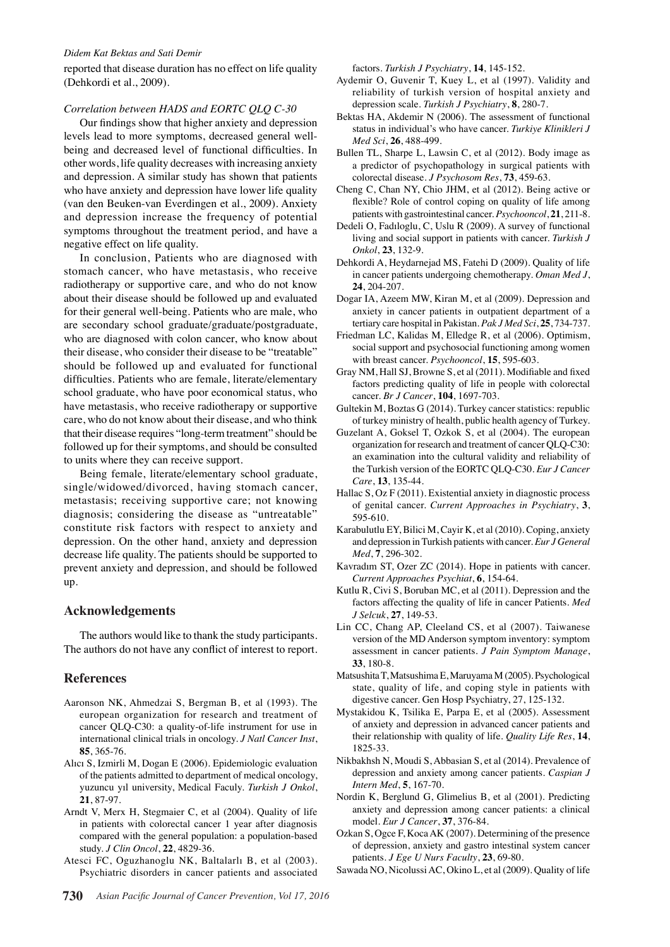### *Didem Kat Bektas and Sati Demir*

reported that disease duration has no effect on life quality (Dehkordi et al., 2009).

### *Correlation between HADS and EORTC QLQ C-30*

Our findings show that higher anxiety and depression levels lead to more symptoms, decreased general wellbeing and decreased level of functional difficulties. In other words, life quality decreases with increasing anxiety and depression. A similar study has shown that patients who have anxiety and depression have lower life quality (van den Beuken-van Everdingen et al., 2009). Anxiety and depression increase the frequency of potential symptoms throughout the treatment period, and have a negative effect on life quality.

In conclusion, Patients who are diagnosed with stomach cancer, who have metastasis, who receive radiotherapy or supportive care, and who do not know about their disease should be followed up and evaluated for their general well-being. Patients who are male, who are secondary school graduate/graduate/postgraduate, who are diagnosed with colon cancer, who know about their disease, who consider their disease to be "treatable" should be followed up and evaluated for functional difficulties. Patients who are female, literate/elementary school graduate, who have poor economical status, who have metastasis, who receive radiotherapy or supportive care, who do not know about their disease, and who think that their disease requires "long-term treatment" should be followed up for their symptoms, and should be consulted to units where they can receive support.

Being female, literate/elementary school graduate, single/widowed/divorced, having stomach cancer, metastasis; receiving supportive care; not knowing diagnosis; considering the disease as "untreatable" constitute risk factors with respect to anxiety and depression. On the other hand, anxiety and depression decrease life quality. The patients should be supported to prevent anxiety and depression, and should be followed up.

### **Acknowledgements**

The authors would like to thank the study participants. The authors do not have any conflict of interest to report.

### **References**

- Aaronson NK, Ahmedzai S, Bergman B, et al (1993). The european organization for research and treatment of cancer QLQ-C30: a quality-of-life instrument for use in international clinical trials in oncology. *J Natl Cancer Inst*, **85**, 365-76.
- Alıcı S, Izmirli M, Dogan E (2006). Epidemiologic evaluation of the patients admitted to department of medical oncology, yuzuncu yıl university, Medical Faculy. *Turkish J Onkol*, **21**, 87-97.
- Arndt V, Merx H, Stegmaier C, et al (2004). Quality of life in patients with colorectal cancer 1 year after diagnosis compared with the general population: a population-based study. *J Clin Oncol*, **22**, 4829-36.
- Atesci FC, Oguzhanoglu NK, Baltalarlı B, et al (2003). Psychiatric disorders in cancer patients and associated

factors. *Turkish J Psychiatry*, **14**, 145-152.

- Aydemir O, Guvenir T, Kuey L, et al (1997). Validity and reliability of turkish version of hospital anxiety and depression scale. *Turkish J Psychiatry*, **8**, 280-7.
- Bektas HA, Akdemir N (2006). The assessment of functional status in individual's who have cancer. *Turkiye Klinikleri J Med Sci*, **26**, 488-499.
- Bullen TL, Sharpe L, Lawsin C, et al (2012). Body image as a predictor of psychopathology in surgical patients with colorectal disease. *J Psychosom Res*, **73**, 459-63.
- Cheng C, Chan NY, Chio JHM, et al (2012). Being active or flexible? Role of control coping on quality of life among patients with gastrointestinal cancer. *Psychooncol*, **21**, 211-8.
- Dedeli O, Fadıloglu, C, Uslu R (2009). A survey of functional living and social support in patients with cancer. *Turkish J Onkol*, **23**, 132-9.
- Dehkordi A, Heydarnejad MS, Fatehi D (2009). Quality of life in cancer patients undergoing chemotherapy. *Oman Med J*, **24**, 204-207.
- Dogar IA, Azeem MW, Kiran M, et al (2009). Depression and anxiety in cancer patients in outpatient department of a tertiary care hospital in Pakistan. *Pak J Med Sci*, **25**, 734-737.
- Friedman LC, Kalidas M, Elledge R, et al (2006). Optimism, social support and psychosocial functioning among women with breast cancer. *Psychooncol*, **15**, 595-603.
- Gray NM, Hall SJ, Browne S, et al (2011). Modifiable and fixed factors predicting quality of life in people with colorectal cancer. *Br J Cancer*, **104**, 1697-703.
- Gultekin M, Boztas G (2014). Turkey cancer statistics: republic of turkey ministry of health, public health agency of Turkey.
- Guzelant A, Goksel T, Ozkok S, et al (2004). The european organization for research and treatment of cancer QLQ-C30: an examination into the cultural validity and reliability of the Turkish version of the EORTC QLQ-C30. *Eur J Cancer Care*, **13**, 135-44.
- Hallac S, Oz F (2011). Existential anxiety in diagnostic process of genital cancer. *Current Approaches in Psychiatry*, **3**, 595-610.
- Karabulutlu EY, Bilici M, Cayir K, et al (2010). Coping, anxiety and depression in Turkish patients with cancer. *Eur J General Med*, **7**, 296-302.
- Kavradım ST, Ozer ZC (2014). Hope in patients with cancer. *Current Approaches Psychiat*, **6**, 154-64.
- Kutlu R, Civi S, Boruban MC, et al (2011). Depression and the factors affecting the quality of life in cancer Patients. *Med J Selcuk*, **27**, 149-53.
- Lin CC, Chang AP, Cleeland CS, et al (2007). Taiwanese version of the MD Anderson symptom inventory: symptom assessment in cancer patients. *J Pain Symptom Manage*, **33**, 180-8.
- Matsushita T, Matsushima E, Maruyama M (2005). Psychological state, quality of life, and coping style in patients with digestive cancer. Gen Hosp Psychiatry, 27, 125-132.
- Mystakidou K, Tsilika E, Parpa E, et al (2005). Assessment of anxiety and depression in advanced cancer patients and their relationship with quality of life. *Quality Life Res*, **14**, 1825-33.
- Nikbakhsh N, Moudi S, Abbasian S, et al (2014). Prevalence of depression and anxiety among cancer patients. *Caspian J Intern Med*, **5**, 167-70.
- Nordin K, Berglund G, Glimelius B, et al (2001). Predicting anxiety and depression among cancer patients: a clinical model. *Eur J Cancer*, **37**, 376-84.
- Ozkan S, Ogce F, Koca AK (2007). Determining of the presence of depression, anxiety and gastro intestinal system cancer patients. *J Ege U Nurs Faculty*, **23**, 69-80.
- Sawada NO, Nicolussi AC, Okino L, et al (2009). Quality of life